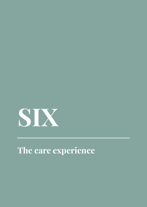

**The care experience**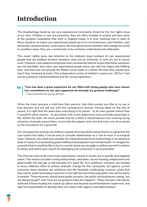# **Introduction**

The disadvantage faced by our care experienced community should be the civil rights issue of our time. Children in care are powerless, they are often invisible to society and face some of the greatest inequalities that exist in England today. It is truly inspiring that in spite of these injustices so many care experienced people go on to run businesses, start families, earn doctorates, produce drama, write poetry, become government ministers and change the world in countless ways. They are a community to be nurtured, understood and celebrated.

This report rightly gives due attention to the relatively large numbers of care experienced people that are isolated, become homeless, miss out on university, or who are not in secure work. However, care experienced people have consistently told the review that these outcomes are not inevitable, that many care experienced people leave care and live happy and fulfilling lives, and that care can provide the lifeline which leads to a better life than they would have had if they remained at home (The independent review of children's social care, 2021c). Care can be a positive, transformational and life saving experience.

#### *"Care has been a great experience for me, filled with loving people who have shown*  44 *true commitment to me, and supported me through my greatest challenges." - Care experienced young person.*

When the state removes a child from their parents, that child usually has little or no say in that decision and yet will live with the consequence forever. Having taken on the role of parent, it is right that the state does everything in its power - to an even greater extent than it would for other citizens - to give those with a care experience every possible advantage in life. Whilst the state can never provide love for a child, it should obsess over creating loving networks of people around them, to provide the support and care that every one of us needs as the foundation for a good life.

Any young person leaving care without a group of loving adults around them is a signal that the care system has failed. It can be easy to consider relationships as a 'nice to have' or a marginal issue. However, you need only consider the importance placed on relationships in an extensive body of research on promoting good childhood development and mental health. Or imagine for yourself what it would be like to live in a world where you struggle to define yourself in relation to others and where your search for belonging and connection is unreciprocated.

The time has come to be much more aspirational, not just in words, but in specific and targeted action. This review considers loving relationships, education, secure housing, employment and good health into old age as the baseline of a good life. Five ambitious 'missions' are needed to focus collective effort to achieve dramatic change for this community. Set against current outcomes these missions are ambitious and the timetable challenging, however, given that they mainly aspire to bringing outcomes in line with the rest of the population, this ask for parity is modest. These missions should leave public servants, the public and businesses asking "are we doing enough?" and "how are we going to make this happen?". These missions will only be achieved if those leading the system go above and beyond recommendations made here, and take full responsibility to develop their own plans with urgency and determination.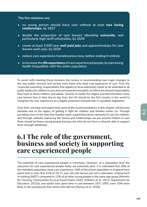### **The five missions are:**

- no young person should leave care without at least *two loving relationships, by 2027*
- *double the proportion of care leavers attending university, and particularly high tariff universities, by 2026*
- *• create at least 3,500 new well paid jobs and apprenticeships for care leavers each year, by 2026*
- *• reduce care experience homelessness now, before ending it entirely*
- *• to increase the life expectancy of care experienced people, by narrowing health inequalities with the wider population*

To assist with meeting these missions the review is recommending two major changes to the way public services and society treat those who have had experience of care. First, the 'corporate parenting' responsibility that applies to local authorities needs to be extended to all public bodies for children in care and care experienced adults, to reflect the shared responsibility they have to these children and adults. Second, to tackle the stigma and discrimination many care leavers face in their day to day lives, the UK should be the first country in the world to recognise the care experience as a legally protected characteristic in equalities legislation.

Over time, we hope and expect that some of the recommendations in this chapter will become obsolete due to the legacy of getting it right for children and families earlier on. Through providing more of the help that families need, supporting family networks to care for children, and through radically improving the homes and relationships we put around children in care there should be fewer young people leaving care who do not have a network able to support them through adulthood.

# **6.1 The role of the government, business and society in supporting care experienced people**

The potential of care experienced people is enormous. However, at a population level the outcomes for care experienced people today are extremely poor. It is estimated that 26% of the homeless population have care experience; 24% of the prison population in England have spent time in care; that 41% of 19-21 year old care leavers are not in education, employment or training (NEET) compared to 12% of all other young people in the same age group (Ministry for Housing, Communities & Local Government, 2020; Williams et al., 2012; Department for Education, 2021b); and adults who spent time in care between 1971-2001 were 70% more likely to die prematurely than those who did not (Murray et al., 2020).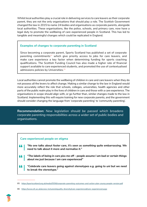Whilst local authorities play a crucial role in delivering services to care leavers as their corporate parent, they are not the only organisations that should play a role. The Scottish Government changed the law in 2015 to name 24 bodies and organisations as corporate parents, alongside local authorities. These organisations, like the police, schools, and primary care, now have a legal duty to promote the wellbeing of care experienced people in Scotland. This has led to tangible and meaningful changes which could be replicated in England.

### **Examples of changes to corporate parenting in Scotland**

Since becoming a corporate parent, Sports Scotland has published a set of corporate parenting commitments $85$  which give priority access to jobs for care leavers, and make care experience a key factor when determining funding for sports coaching qualifications. The Scottish Funding Council has also made a higher rate of financial support available to care experienced students, and promoted the use of contextualised admissions policies by Universities.<sup>86</sup>

Local authorities cannot promote the wellbeing of children in care and care leavers when they do not possess all the levers to affect change. Making a similar change to the law in England would more accurately reflect the role that schools, colleges, universities, health agencies and other parts of the public realm play in the lives of children in care and those with a care experience. The organisations in scope should align with, or go further than, similar changes made to the law in Scotland. Implementing this will require training for new corporate parents, and the government should consider changing the language from 'corporate parenting' to 'community parenting'.

**Recommendation:** *New legislation should be passed which broadens corporate parenting responsibilities across a wider set of public bodies and organisations.* 

### **Care experienced people on stigma**

- *"No one talks about foster care, it's seen as something quite embarrassing. We need to talk about it more and normalise it."*
- *"The labels of being in care piss me off people assume I am bad or certain things*  44 *about me just because I am care experienced"*
- 44 *"Celebrate care leavers going against stereotypes e.g. going to uni but we need to break the stereotype."*

<sup>86</sup> https://www.sfc.ac.uk/access-inclusion/equality-diversity/care-experienced/care-experienced.aspx



<sup>85</sup> https://sportscotland.org.uk/media/5556/corporate-parenting-outcomes-and-action-plan-young-people-version.pdf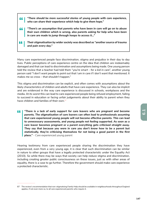- *"There should be more successful stories of young people with care experience,*  44 *who can share their experience which help to give them hope."*
- *"There's an assumption that parents who have been in care will go on to abuse*  44 *their own children which is wrong, also parents asking for help who have been in care are made to jump through hoops to access it…"*
- *Their stigmatisation by wider society was described as "another source of trauma*  44 *and pain every day."*

Many care experienced people face discrimination, stigma and prejudice in their day to day lives. Public perceptions of care experience centre on the idea that children are iredeemably damaged and that can lead to discrimination and assumptions being made. One young person told the review that a teacher had told them "*you're smart - for a kid in care"*, another young person said *"I don't want people to point out that I am in care if I don't want that mentioned. It makes me so cross – that shouldn't happen."* 

This stigma and discrimination can be explicit, and often comes with assumptions about the likely characteristics of children and adults that have care experience. They can also be implicit and are evidenced in the way care experience is discussed in schools, workplaces and the media. At its worst this can lead to care experienced people being refused employment, failing to succeed in education or facing unfair judgements about their ability to parent when they have children and families of their own.<sup>87</sup>

*"There is a lack of early support for care leavers who are pregnant and become*  44 *parents. The stigmatisation of care leavers can often lead to professionals assuming that care experienced young people will not become effective parents. This can lead to unnecessary assessments, and young people not feeling supported. As soon as a care leaver becomes pregnant or a parent everything gets criticised straight away. They say that because you were in care you don't know how to be a parent but statistically, they're criticising themselves for not being a good parent in the first place." - Care experienced young parent*

Hearing testimony from care experienced people sharing the discrimination they have experienced, even from a very young age, it is clear that such discrimination can be similar in nature to other groups that have a legally protected characteristic under the Equality Act (2010). So while there may be ways that society can help reduce stigma and discrimination, including creating greater public consciousness on these issues, just as with other areas of equality, there is a case to go further. Therefore the government should make care experience a protected characteristic.

<sup>87</sup> The review's recommendation that non-stigmatising Family Help should be available in neighbourhoods throughout England applies, if not even more so, to all care experienced parents who require it.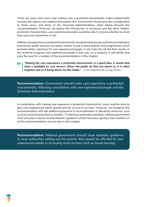There are some who worry that making care a protected characteristic might inadvertently increase the stigma care experienced people face. Government should give due consideration to these views, and those of the Devolved Administrations, when taking forward this recommendation. However, we believe the introduction is necessary and like other 'hidden' protected characteristics, care experienced people would be able to choose whether to share their past care experience or not.

Making care experience a protected characteristic would provide greater authority to employers, businesses, public services and policy makers to put in place policies and programmes which promote better outcomes for care experienced people. It will make the UK the first country in the world to recognise care experienced people in this way. As a measure, it will bolster and pave the way for a number of the recommendations in this chapter.

*"Making the care experience a protected characteristic is a good idea, it would help*  " *shed a spotlight on care leavers. When the public do find out about us, it is often negative due to it being driven by the media." - Care experienced young person*

**Recommendation:** *Government should make care experience a protected characteristic, following consultation with care experienced people and the Devolved Administrations.* 

In combination with making care experience a protected characteristic, more could be done to give care experienced adults greater priority access to services. However, we recognise this recommendation will add additional pressure to local authorities in allocating resources, such as local social housing stock to families. To help local authorities prioritise, national government must also play a role by issuing statutory guidance where necessary, giving a clear position on all the recommendations set out later in this chapter.

**Recommendation:** *National government should issue statutory guidance to local authorities setting out the priority that should be afforded to care experienced adults in accessing local services such as social housing.*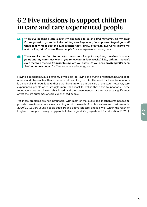# **6.2 Five missions to support children in care and care experienced people**

- *"Now I've become a care leaver, I'm supposed to go and find my family on my own:*  44 *I'm supposed to go and act like nothing ever happened, I'm supposed to just go to all these family meet-ups and just pretend that I know everyone. Everyone knows me and it's like, I don't know these people." - Care experienced young person*
- *"Four weeks is all I got to find a job, make sure I've got everything. I walked in at one*  44 point and my carer just went, 'you're leaving in four weeks'. Like, alright. I haven't *even received the text from her to say, 'are you okay? Do you need anything?' It's been 'bye', no more contact." - Care experienced young person*

Having a good home, qualifications, a well paid job, loving and trusting relationships, and good mental and physical health are the foundations of a good life. The need for these foundations is universal and not unique to those that have grown up in the care of the state, however, care experienced people often struggle more than most to realise these five foundations. These foundations are also inextricably linked, and the consequences of their absence significantly affect the life outcomes of care experienced people.

Yet these problems are not intractable, with most of the levers and mechanisms needed to provide these foundations already sitting within the reach of public services and businesses. In 2020/21, 13,360 young people aged 16 and above left care, and it is well within the reach of England to support these young people to lead a good life (Department for Education, 2021b).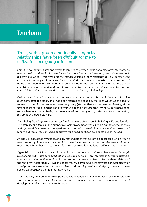# **Durham**

### *Trust, stability, and emotionally supportive relationships have been difficult for me to cultivate since going into care.*

*I am 33 now, but my sister and I were taken into care when I was aged nine after my mother's mental health and ability to care for us had deteriorated to breaking point. My father took his own life when I was two and my mother started a new relationship. This partner was emotionally and physically abusive, they separated when I was seven, which meant we moved home and school every six months or so. My mother worked full time, and with the added*  instability, lack of support and no relatives close by, my behaviour started spiralling out of *control. I felt unloved, unvalued and unable to make lasting relationships.*

*Before my mother left us we had a compassionate social worker who would take us out to give mum some time to herself, and I had been referred to a child psychologist which wasn't helpful for me. Our first foster placement was temporary (six months) and I remember thinking at the time that there was a distinct lack of communication on the process of what was happening to us or where our mother had gone. I was scared, constantly on high alert and found controlling my emotions incredibly hard.*

*After being found a permanent foster family we were able to begin building a life and identity. The stability of a familiar and supportive foster placement was a lifeline during a time of crisis and upheaval. We were encouraged and supported to remain in contact with our extended family, but there was confusion about why they had not been able to take us in instead.*

*At age 15 I expressed my concern to my foster mother that I might be depressed which wasn't taken seriously. I believe at this point it would have been important to intervene and find a mental health professional to work with me so as to build emotional resilience much earlier.*

*Aged 16, I got back in contact with my birth mother, who I continue to have an arm's length relationship with. I left care aged 18 and was able to follow my interests in further education. I remain in contact with one of my foster brothers but have limited contact with my sister and the rest of my foster family – which upsets me. My current support network consists mostly of small groups of close friends from volunteer work, employment and studying. I have also been seeing an affordable therapist for two years.*

*Trust, stability, and emotionally supportive relationships have been difficult for me to cultivate since going into care. Since leaving care I have embarked on my own personal growth and development which I continue to this day.*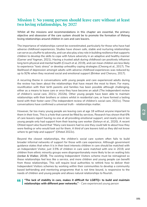### **Mission 1: No young person should leave care without at least two loving relationships, by 2027**

Whilst all the missions and recommendations in this chapter are essential, the primary objective and obsession of the care system should be to promote the formation of lifelong loving relationships around children in care and care leavers.

The importance of relationships cannot be overestimated, particularly for those who have had adverse childhood experiences. Studies have shown safe, stable and nurturing relationships can serve as a buffer to adversity, and can also play a key role in building resilience that supports children to develop the skills to cope with future adversity in an adaptive and healthy manner (Garner and Yogman, 2021). Having a trusted adult during childhood can positively influence long term physical and mental health (Crouch et al, 2019), and can mean children are less likely to experience "toxic stress" or develop unhealthy coping strategies (Cheong et al., 2017). The likelihood of depression amongst adults with adverse childhood experiences was reduced by up to 92% when they received social and emotional support (Brinker and Cheruvu, 2017).

A recurring theme in conversations with young people and care experienced adults during the review has been about the relationships that have meant the most to them. For many, reunification with their birth parents and families has been possible although challenging, either as a means to leave care or once they have become an adult (The independent review of children's social care, 2021c; 2022b). Other young people have been able to maintain relationships with their brothers or sisters whilst in residential care, or have formed a lasting bond with their foster carer (The independent review of children's social care, 2021c). These conversations have confirmed a universal truth - relationships matter.

However, far too many young people are leaving care at age 18 without anyone important to them in their lives. This is a hole that cannot be filled by services. Research has shown that 6% of care leavers report having no one at all providing emotional support, and nearly one in ten young people only had support from their leaving care worker (Selwyn et al., 2020). A recent Ofsted report also found that *"Many care leavers had no one they could talk to about how they were feeling or who would look out for them. A third of care leavers told us they did not know where to get help and support"* (Ofsted 2022c).

Beyond the closest relationships, the children's social care system often fails to build broader informal networks of support for those with care experience. Although government guidance states that when it is in their best interests children in care should be matched with an Independent Visitor, just 3.5% of children in care were matched with one in 2019, and children from ethnic minority groups were disproportionately more likely to be on waiting lists (Jordan & Walker, 2019). The existing Independent Visitors scheme must be reimagined so these relationships feel less like a service, and more children and young people can benefit from these relationships. This will require local authorities to rethink how to deliver their Independent Visitors schemes by working within their communities to develop a community based befriending and mentoring programme that is not time bound, is responsive to the needs of children and young people and allows natural relationships to flourish.

#### *"The lack of stability in care, makes it difficult for LGBTQ+ to build and maintain*  " *relationships with different peer networks." - Care experienced young person*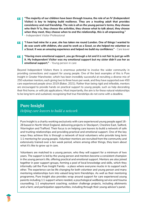- 44 *"The majority of our children have been through trauma, the role of an IV (Independent Visitor) is key to helping build resilience. They are a trusting adult that provides consistency and real friendship. The role is all on the young person's terms, they choose who their IV is, they choose the activities, they choose what to talk about, they choose when they meet, they choose when to end the relationship, this is all empowering." - Independent Visitor Professional*
- *"I have had mine for a year, she has taken me round London. One of things I wanted to*  66. *do was work with children, she used to work as a Scout, so she helped me volunteer as a Scout. It was an amazing experience and helped me build my confidence." - Care leaver*
- *"Having more emotional support, you go through a lot and it is not fair to just go with*  44 *it. My Independent Visitor was my emotional support but my sister didn't use her as emotional support." - Young person in care*

Beyond Independent Visitors there is enormous potential to involve the wider community in providing connections and support for young people. One of the best examples of this is Pure Insight in Greater Manchester, which has been incredibly successful at recruiting a diverse mix of 250 volunteer mentors, each giving two to three hours per week, and they have supported over 450 care experienced people since 2019 (Baker, 2021). Rather than being rigid and inflexible, mentors are encouraged to provide hands on practical support to young people, such as help decorating their first home, or with job applications. Most importantly, the aim is for these natural relationships to be long term and sustained, recognising that true friendships do not come with a deadline.

## **Pure Insight**

*Helping care leavers to build a network*

Pure Insight is a charity working exclusively with care experienced young people aged 16- 28 based in North West England, delivering projects in Stockport, Cheshire East, Salford, Warrington and Trafford. Their focus is on helping care leavers to build a network of safe and trusting relationships and providing practical and emotional support. One of the key ways they achieve this is through a network of local volunteers who provide long term 1:1 mentoring for young people. Volunteer mentors are recruited from the community and extensively trained over a ten week period, where among other things, they learn about what it's like to grow up in care.

Volunteers are matched to a young person, who they will support for a minimum of two years. The support is led by the young person and mentors become a consistent champion in the young person's life, offering practical and emotional support. Mentors are also joined together in peer support groups, forming a pool of local knowledge and skills, which they informally call the Pure Insight Family - a place where everyone mucks in to support each other. The experience can be life changing for both volunteer and young person and many mentoring relationships turn into valued long term friendships. As well as their mentoring programme, Pure Insight also provides wrap around support for care experienced young parents including 1:1 support where needed, a psychological wellbeing service and trauma counselling; 1:1 employment coaching; outdoor challenge projects, including allotments and a farm; and participation opportunities, including through their young advisor's panel.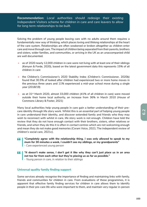**Recommendation:** *Local authorities should redesign their existing Independent Visitors scheme for children in care and care leavers to allow for long term relationships to be built.*

Solving the problem of young people leaving care with no adults around them requires a fundamentally new way of thinking, which places loving and lifelong relationships at the heart of the care system. Relationships are often weakened or broken altogether as children enter care and move through care. The impact of children being separated from their parents, brothers and sisters, wider families, and communities, or arriving in the UK as an unaccompanied child are well documented.

- as of 2020 nearly 12,000 children in care were not living with at least one of their siblings (Kenyon & Forde, 2020), based on the latest government data this represents 15% of all children in care
- the Children's Commissioner's 2020 Stability Index (Children's Commissioner, 2020b) found that 30.5% of looked after children had experienced two or more home moves in the previous three years and 11% experienced a mid-year school move during a single year (2018/19)
- as at 31<sup>st</sup> March 2020, almost 33,000 children (41% of all children in care) were moved outside their home local authority, an increase from 36% in March 2010 (House of Commons Library & Foster, 2021)

Many local authorities help young people in care gain a better understanding of their precare identity through life story work. Whilst this is an essential part of helping young people in care understand their identity, and discover extended family and friends who they may wish to reconnect with whilst in care, life story work is not enough. Children have told the review that they do not have enough contact with their brothers, sisters, other relatives or friends, and when they do this it is often in contact centres which are not welcoming enough and mean they do not make good memories (Coram Voice, 2021; The independent review of children's social care, 2021c).

- 66 *"Completely agree with the relationship thing. I was only allowed to speak to my mum for 30 minutes a week, I couldn't see my siblings, or my grandparents" - Care experienced young person*
- 66. *"It doesn't make sense, I don't get it like why they can't just place us in an area not too far from each other but they're placing us as far as possible." - Young person in care, in relation to their siblings*

### **Universal quality family finding support**

Some services already recognise the importance of finding and maintaining links with family, friends and communities for children in care. From evaluations of these programmes, it is apparent that effective family finding services for children in care allows them to identify people in their pre-care life who were important to them, and maintain very regular in-person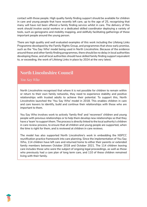contact with those people. High quality family finding support should be available for children in care and young people that have recently left care, up to the age of 25, recognising that many will have not been offered a family finding service whilst in care. The delivery of this work should involve social workers or a dedicated skilled coordinator deploying a variety of tools, such as genograms and mobility mapping, and skillfully facilitating gatherings of these important people around the young person.

There are high quality and well evaluated examples of this work including the Lifelong Links Programme developed by the Family Rights Group, and programmes that show early promise, such as the 'You Say Who' model being used in North Lincolnshire. Because of the evidence around these and other family finding programmes, there should be no delay in local authorities developing these, and all local authorities should have skilled family finding support equivalent to, or exceeding, the work of Lifelong Links in place by 2024 at the very latest.

# **North Lincolnshire Council**

*You Say Who*

North Lincolnshire recognised that where it is not possible for children to remain within or return to their own family networks, they need to experience stability and positive relationships with trusted adults to achieve their potential. To support this, North Lincolnshire launched the 'You Say Who' model in 2018. This enables children in care and care leavers to identify, build and continue their relationships with those who are important to them.

You Say Who involves work to actively 'family find' and 'reconnect' children and young people with previous relationships or to help them develop new relationships so that they have a 'team' to support them. The process is directly linked to the local authority's children in care review process, to ensure that all children and young people are supported, when the time is right for them, and is reviewed at children in care reviews.

The model has also supported North Lincolnshire's work in embedding the NSPCC reunification practice framework into care planning. Since the implementation of You Say Who, 114 children have left care and returned home to either their parents or extended family members between October 2018 and October 2021. The 114 children leaving care includes those who were the subject of ongoing legal proceedings, as well as those who previously had a care plan of long term care, and 110 of these children remained living with their family.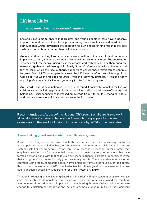# **Lifelong Links**

### *Building support networks around children*

Lifelong Links aims to ensure that children and young people in care have a positive support network around them to help them during their time in care and in adulthood. Family Rights Group developed the approach following research findings that the care system too often breaks, rather than builds, relationships.

An independent Lifelong Links coordinator works with a child in care to find out who is important to them, and who they would like to be in touch with or know. The coordinator searches for these people, using a variety of tools and techniques. They then bring the network together at the Lifelong Links Family Group Conference to make a plan with, and for the child, which the local authority supports to ensure these relationships continue to grow. Over 1,775 young people across the UK have benefited from Lifelong Links. One said: *"If it wasn't for Lifelong Links I wouldn't know my brothers, I wouldn't know anything about my family, I would genuinely just be in this on my own."*

An Oxford University evaluation of Lifelong Links found it positively impacted the lives of children in care, including greater placement stability and increased sense of identity and belonging. Social connections increased on average from 7 to 26. It is changing culture and practice so relationships are not broken in the first place.

**Recommendation:** *As part of the National Children's Social Care Framework, all local authorities should have skilled family finding support equivalent to or exceeding, the work of Lifelong Links in place by 2024 at the very latest.* 

#### **A new lifelong guardianship order for adults leaving care**

As well as breaking relationships with family, the care system is also set up in a way that forces an end point on loving relationships, which may have grown through a child's time in the care system itself. For young people leaving care today, there is no mechanism for a family that may have provided care for them in their home, such as foster carers or other adults that have formed a strong bond with that child such as teachers, friends' parents or mentors, to invite that young person to more formally join their family for life. There is evidence where other countries with broadly comparable social norms and legal frameworks have sought to address this problem. For example, in 2016 the Australian Adoption legislation was amended to make adult adoption a possibility (Department for Child Protection, 2019).

Through introducing a new 'Lifelong Guardianship Order' in England, young people who leave care will be able to demonstrate that they have legally and practically joined the family of another non-related adult that is important to them. Making this new Order a reality will require change to legislation so that it not only acts as a symbolic gesture, but also has significant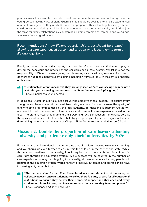practical uses. For example, the Order should confer inheritance and next of kin rights to the young person leaving care. Lifelong Guardianship should be available to all care experienced adults at any age once they reach 18, where appropriate. This act of legally joining a family could be accompanied by a celebration ceremony to mark the guardianship, and in time join the ranks for family celebrations like christenings, naming ceremonies, communions, weddings, anniversaries and graduations.

**Recommendation:** *A new lifelong guardianship order should be created, allowing a care experienced person and an adult who loves them to form a lifelong legal bond.* 

Finally, as set out through this report, it is clear that Ofsted have a critical role to play in driving the behaviour and practice of the children's social care system. Whilst it is not the responsibility of Ofsted to ensure young people leaving care have loving relationships, it could do more to nudge this behaviour by aligning inspection frameworks with the central principles of this review.

#### *"Relationships aren't measured, they are only seen as "are you seeing them or not"*  44 *and who you are seeing, but not measured how [the relationship] is going." - Care experienced young person*

In doing this Ofsted should take into account the objective of this mission - to ensure every young person leaves care with at least two loving relationships - and assess the quality of family finding programmes used by the local authority. To make this judgement Ofsted will also need to seek the views of children in care and those with care experience based in the area. Therefore, Ofsted should amend the SCCIF and ILACS inspection frameworks so that the quality and number of relationships held by young people play a more significant role in determining the overall judgement (see Chapter Eight for our recommendations on Ofsted).

### **Mission 2: Double the proportion of care leavers attending university, and particularly high tariff universities, by 2026**

Education is transformational. It is important that all children receive excellent schooling, and we should go even further to ensure this for children in the care of the state. While this mission headlines on university, it will require much more ambition for children in care right through the education system. While success will be counted in the number of care experienced young people going to university, all care experienced young people will benefit as the education system works harder to improve outcomes and professionals have increasingly higher ambitions.

- *"The barriers stem further than those faced once the student is at university or*  44 *college. However, once a student has enrolled there is a duty of care for all educational institutions to ensure they deliver their proposed support and that each and every student in this social group achieves more than the tick box they have completed."* 
	- *Care Experienced adult, at university*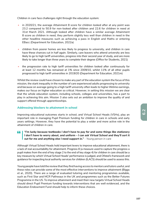Children in care face challenges right through the education system:

- in 2020/21, the average Attainment 8 score for children looked after at any point was 23.2 compared to 50.9 for non-looked after children and 22.6 for children in need at 31st March 2021. Although looked after children have a similar average Attainment 8 score as children in need, they perform slightly less well than children in need in the other headline measures such as achieving a pass in English and Maths or entering EBacc (Department for Education, 2022a)
- children from poorer homes are less likely to progress to university, and children in care have these chances cut in half again. Similarly, care leavers who attend university are less likely to go to high tariff universities, progress into their second year of study, and are more likely to take longer than three years to complete their degree (Office for Students, 2021)
- the progression rate to high tariff universities for children looked after continuously for at least 12 months has remained at 1% since 2009/10, whilst 11% of all other pupils progressed to high tariff universities in 2019/20 (Department for Education, 2021m)

Whilst the review could have chosen to make any part of the education system the focus of this mission, the stark inequality in the number of care experienced adults progressing to university and because on average going to a high tariff university often leads to higher lifetime earnings, makes our focus on higher education so critical. However, in setting this mission we are clear that the whole education system, including schools, colleges and universities, has a part to play in achieving this aim. Mission 3 also sets out an ambition to improve the quality of and support offered through apprenticeships.

### **Addressing blockers to attainment in school**

Improving educational outcomes starts in school, and Virtual School Heads (VSHs), play an important role in managing Pupil Premium funding for children in care in schools and early years settings. However, they have the potential to play a wider and more active role in the attainment of children in care.

44 *"I'm lucky because textbooks I don't have to pay for and some things like stationery I don't have to worry about, and uniform – I can ask Virtual School and they'll sort it out for me and anything else I need support in." - Young person in care*

Although Virtual School Heads hold important levers to improve educational attainment, there is a lack of real accountability for attainment. Progress 8 (a measure used to capture the progress a pupil makes from the end of key stage 2 to the end of key stage 4) for children in care should be a key measure by which Virtual School Heads' performance is judged, and Ofsted's framework and guidance for inspecting local authority services for children (ILACS) should be used to assess this.

Young people have told the review that they find having access to mentors and tutors useful, and these roles can provide some of the most effective interventions to improve attainment (Biggs et al., 2020). There are a range of evaluated tutoring and mentoring programmes available, such as First Star and MCR Pathways in the UK and programmes such as the Better Futures Programme in the US. To improve attainment and meet their new targets Virtual School Heads should direct Pupil Premium funding towards interventions that are well evidenced, and the Education Endowment Fund should help to inform these choices.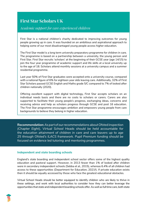# **First Star Scholars UK**

### *Academic support for care experienced children*

First Star is a national children's charity dedicated to improving outcomes for young people growing up in care. It was founded on an ambitious and aspirational approach to helping some of our most disadvantaged young people access higher education.

The First Star model is a long term university preparatory programme for children in care. The programme is based on a partnership between a university, the young person and First Star. First Star recruits 'scholars' at the beginning of their GCSE year (age 14/15) to join the four year programme of academic support and life skills at a local university up to the age of 18. Scholars attend monthly sessions at a university campus and a summer residential programme.

Last year 50% of First Star graduates were accepted onto a university course, compared with a national figure of 6% for eighteen year olds leaving care. Additionally, 32% of First Star Scholars passed GCSE English and Maths grade 5/C compared to 7% of looked after children nationally (2020).

Offering excellent support with digital technology, First Star accepts scholars on an individual needs basis and there are no costs to scholars or carers. Carers are also supported to facilitate their young people's progress, exchanging ideas, concerns and receiving advice and help as scholars progress through GCSE and post 16 education. The First Star programme encourages ambition and empowers young people from care backgrounds to believe they belong in higher education.

**Recommendation:** *As part of our recommendations about Ofsted inspection (Chapter Eight), Virtual School Heads should be held accountable for the education attainment of children in care and care leavers up to age 25 through Ofsted's ILACS framework. Pupil Premium funding should be focused on evidence led tutoring and mentoring programmes.* 

### **Independent and state boarding schools**

England's state boarding and independent school sector offers some of the highest quality education and pastoral support. However, in 2013 fewer than 1% of looked after children were in secondary independent schools (Sebba et al., 2015), whereas 6.4% of all children had access to these opportunities (Department for Education, 2021f). If private education exists then it should be equally accessed by those who face the greatest educational obstacles.

Virtual School Heads should be better equipped to identify children who are likely to thrive in these settings, and work with local authorities to consider how they can better leverage the opportunities that state and independent boarding schools offer. As well as full time care, both state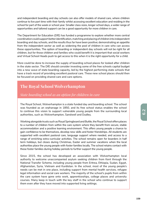and independent boarding and day schools can also offer models of shared care, where children continue to live part time with their family whilst accessing excellent education and residing in the school for part of the week or school year. Smaller class sizes, longer school days, a wider range of opportunities and tailored support can be a good opportunity for more children in care.

The Department for Education (DfE) has funded a programme to explore whether more central coordination could support better identification, matching and placing of children into independent boarding and day schools, and the results thus far have been positive; demonstrating an appetite from the independent sector as well as widening the pool of children in care who can access these opportunities. The option of boarding or independent day schools will not be right for all children, but for those children and families who could benefit it is important that social workers and Virtual School Heads push to get access to this when it is the right opportunity for a child.

More could be done to increase the supply of boarding school places for looked after children in the state sector. The DfE should consider investing some of the free schools capital budget into a new wave of state boarding capacity, led by the highest performing state schools that have a track record of providing excellent pastoral care. These new school places should then be focused on providing shared care and care options.

# **The Royal School Wolverhampton**

### *State boarding school as an option for children in care*

The Royal School, Wolverhampton is a state funded day and boarding school. The school was founded as an orphanage in 1850, and its free school status enables the school to continue this vision to support vulnerable young people from the surrounding local authorities, such as Wolverhampton, Sandwell and Dudley.

Working alongside trusts such as Royal Springboard and Buttle, the Royal School offers places to a number of children from within the care system where they benefit from secure, stable accommodation and a positive learning environment. This offers young people a chance to gain confidence to be themselves, develop new skills and foster friendships. All students are supported with excellent pastoral care, language support where needed, and access to a range of enriching extra-curricular activities. The school remains open for boarders in half term holidays, but closes during Christmas, Easter and summer vacations when the local authorities place the young people with foster families locally. The school retains contact with these foster families during holiday periods to further support the young people.

Since 2015, the school has developed an association with Wolverhampton local authority to welcome unaccompanied asylum seeking children from Kent through the National Transfer Scheme, including young people from Eritrea, Ethiopia, Sudan, Egypt, Afghanistan, Syria, Vietnam and Kurdistan. In the school, most of the young people's needs can be met in one place, including support from mental health services, refugee legal information and social care workers. The majority of the school's pupils from within the care system have gone onto work, apprenticeships, college places and university courses. Many keep in touch with the key staff in the school who continue to support them even after they have moved into supported living settings.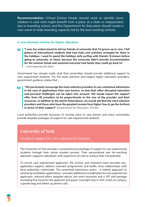**Recommendation:** *Virtual School Heads should work to identify more children in care who might benefit from a place at a state or independent day or boarding school, and the Department for Education should create a new wave of state boarding capacity led by the best existing schools.* 

#### **A new kitemark scheme for higher education**

*"I was too embarrassed to tell my friends at university that I'd grown up in care. I felt*  44 *jealous of international students that had clubs and activities arranged for them in the holidays. I used to spend the holidays sofa surfing with friends I'd known before going to university, or alone, because the university didn't provide accommodation for the summer break and assumed everyone had family they could go back to" - Care experienced adult*

Government has already made clear that universities should provide additional support to care experienced students. For the most selective and largest higher education providers, government guidance states that:

*"We particularly encourage the most selective providers to use contextual admissions*  44 *in the case of applications from care leavers, so that their often disrupted education and personal challenges can be taken into account. We would expect the support offer from HE providers to be proportionate to the size of the provider and their resources. In addition to the points listed above, we would ask that the most selective providers and those who have the greatest income from higher fees to go the furthest in terms of their support" (Department for Education, 2019a).*

Local authorities provide bursaries of varying value to care leavers and many universities provide bespoke packages of support for care experienced students.

## **University of York**

*Excellent support for care experienced students*

The University of York provides a comprehensive package of support to care experienced students through their whole student journey. Their personalised and far-reaching approach supports individuals with experience of care to achieve their full potential.

To recruit care experienced applicants, the Access and Outreach team provides preapplication support, delivers outreach programmes and builds close relationships with local authorities nationwide. The contextual admissions policy - a holistic approach to assessing candidates applications - provides additional consideration for care experienced applicants, reduced offers, bespoke advice, pre-entry bursaries and a VIP visit package (including free travel for the applicant and guest, overnight stay in York, lunch on campus, a goodie bag and follow up phone-call).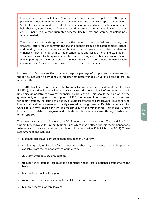Financial assistance includes a Care Leavers' Bursary, worth up to £3,000 a year, particular consideration for various scholarships, and free York Sport membership. Students are encouraged to feel stable in their new home and given the type of practical help that they need including free year round accommodation for care leavers (capped at £130 per week), a rent guarantee scheme, flexible lets, and storage of belongings where needed.

Transitional support is designed to make the move to university feel less daunting; the university offers regular communications and support from a dedicated contact, kitchen and bedding packs, suitcases, a contribution towards travel costs, student buddies, an enhanced induction programme, free Freshers pass and college merchandise. Students feel cared for with birthday vouchers, Christmas stockings and other celebration events. Peer support groups and social events connect care experienced students who may share common issues/challenges, and increases their sense of belonging.

However, too few universities provide a bespoke package of support for care leavers, and the review has seen no evidence to indicate that better funded universities tend to provide a better offer.

The Buttle Trust, and more recently the National Network for the Education of Care Leavers (NNECL), have developed a kitemark system to indicate the level of commitment each university demonstrates towards supporting care leavers. This should be built on by the government, working in partnership with NNECL, to develop it into a new kitemark system for all universities, indicating the quality of support offered to care leavers. This enhanced kitemark should be overseen and quality assured by the government's National Advisor for Care Leavers, who should in turn, report annually to the Minister for Higher and Further Education to update on progress and indicate which universities are offering substandard or no support.

The review supports the findings of a 2019 report by the Leverhulme Trust and Sheffield University "*Pathways to University from Care"* which made fifteen specific recommendations to better support care experienced people into higher education (Ellis & Johnston, 2019). These recommendations included:

- a named care leaver contact or champion at each university
- facilitating early registration for care leavers, so that they can ensure essential support is available from the point of arriving at university
- 365-day affordable accommodation
- training for all staff to recognise the additional needs care experienced students might have
- fast track mental health support
- running pre-entry summer schools for children in care and care leavers
- bursary schemes for care leavers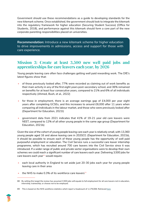Government should use these recommendations as a guide to developing standards for the new kitemark scheme. Once established, the government should look to integrate the kitemark into the regulatory framework for higher education (Securing Student Success) (Office for Students, 2018), and performance against this kitemark should form a core part of the new corporate parenting responsibilities placed on universities.

**Recommendation:** *Introduce a new kitemark scheme for higher education to drive improvements in admissions, access and support for those with care experience.*

### **Mission 3: Create at least 3,500 new well paid jobs and apprenticeships for care leavers each year, by 2026**

Young people leaving care often face challenges getting well paid rewarding work. The DfE's latest figures show that:

- of those previously looked after, 77% were recorded as claiming out of work benefits as their main activity in any of the first eight years post-secondary school, and 36% remained on benefits for at least four consecutive years, compared to 21% and 6% of all individuals respectively (Ahmed, Bush, et al., 2022)
- for those in employment, there is an average earnings gap of £4,000 per year eight years after completing GCSEs, and this increases to around £6,000 after 11 years when comparing all individuals in the labour market, and those who were previously looked after (Department for Education, 2021l)
- government data from 2021 indicates that 41% of 19-21 year old care leavers were NEET, compared to 12% of all other young people in the same age group (Department for Education, 2021b)

Given the size of the cohort of young people leaving care each year is relatively small, with 13,360 young people aged 16 and above leaving care in 2020/21 (Department for Education, 2021b), it should be possible to ensure each of these young people has the opportunity of well paid purposeful employment or education. The Civil Service runs a successful care leaver internship programme, which has recruited around 700 care leavers into the Civil Service since it was introduced. If a wider range of public and private sector organisations were to develop their own schemes we could reach a significant number of care leavers each year. Delivering 3,500 jobs for care leavers each year<sup>88</sup> would require:

- each local authority in England to set aside just 20-30 jobs each year for young people leaving care in their area
- the NHS to make 0.3% of its workforce care leavers<sup>89</sup>

<sup>88</sup> By setting this target the review has assumed 3,500 jobs will equate to full employment for all care leavers not in education, internship, traineeship, or choose not to be employed.

<sup>89</sup> This is based on the NHS workforce statistics which report a headcount of 1,179,008. Retrieved here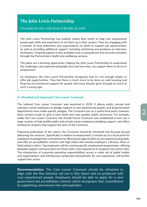## **The John Lewis Partnership**

### *Focusing on care experienced people at work*

The John Lewis Partnership has publicly stated their intent to help care experienced people gain skills and experience to set them up in their careers. They are engaging with a number of local authorities and organisations on pilots to support job opportunities, as well as providing additional support, including mentoring and guidance on interview techniques. Ongoing support is also available once a young person has secured a position through the Partnership's health and wellbeing services.

The pilots are a learning opportunity, helping the John Lewis Partnership to understand the challenges care experienced people face and how they can support them to thrive in employment.

As employers, the John Lewis Partnership recognises that it's not enough simply to offer job opportunities. They feel there is much more to be done on safe housing and financial and emotional support for people who have already gone through so much at such a young age.

### **A refreshed and improved Care Leaver Covenant**

The national Care Leaver Covenant was launched in 2018. It allows public, private and voluntary sector employers to pledge support to care experienced people, and all government departments have made specific pledges. The Covenant acts as a useful focal point; however, there remains scope to give it more teeth and raise greater public awareness. For example, unlike the Care Leaver Covenant, the Armed Forces Covenant was established in law, has a large number of high profile public and private sector employers pledging support, and offers funding for projects that support the aims of the Covenant.

Following publication of this report, the Covenant should be refreshed and focused around delivering the missions. Specifically in relation to employment, it should act as a focal point for employers to pledge their commitment to offering job opportunities to care experienced people, and offer an accreditation scheme with high status that awards employers a Bronze, Silver or Gold rating in return. Top employers will be running specific employment programmes, offering bespoke support, and have plans for those with a care experience to progress into senior roles. The introduction of corporate parenting responsibilities across a wider set of public bodies and organisations, and introducing a protected characteristic for care experience, will further support this action.

**Recommendation:** *The Care Leaver Covenant should be refreshed to*  align with the five missions set out in this report and co-produced with *care experienced people. Employers should be able to apply for a new government led accreditation scheme which recognises their commitment to supporting care leavers into well paid jobs.*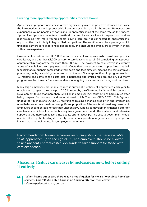#### **Creating more apprenticeship opportunities for care leavers**

Apprenticeship opportunities have grown significantly over the past two decades and since the introduction of the Apprenticeship Levy are set to increase in the future. However, care experienced young people are not taking up apprenticeships at the same rate as their peers. Apprenticeships are a recruitment method that employers are keen to expand too, and so it is troubling that more young people leaving care are not connected to apprenticeship opportunities, particularly in high skilled occupations. The solution must be a package which unblocks barriers care experienced people face, and encourages employers to invest in those with a care experience.

Government provides a one off £1,000 incentive payment to employers who recruit an apprentice care leaver, and a further £1,000 bursary to care leavers aged 16-24 completing an approved apprenticeship programme for more than 60 days. The payment to care leavers is currently a one off single lump sum payment, and reflects that care experienced apprentices may lack familial financial support compared to their peers and face difficulty meeting the costs of travel, purchasing tools, or clothing necessary to do the job. Some apprenticeship programmes last 12 months and some of the costs care experienced apprentices face are one off, but many programmes last three or four years and new or ongoing costs may arise throughout that time.

Many large employers are unable to recruit sufficient numbers of apprentices each year to enable them to spend their levy pot. A 2021 report by the Chartered Institute of Personnel and Development found that more than £2 billion in employer levy contributions had expired after being unspent for two years, and were returned to HM Treasury (CIPD, 2021). This figure is undoubtedly high due to COVID-19 restrictions causing a marked drop off in apprenticeships, nonetheless even in normal years a significant proportion of the levy is returned to government. Employers should be able to use their unspent levy funding to develop an enhanced offer for care leavers, which builds on the bursary from government and offers tailored and intensive support to get more care leavers into quality apprenticeships. The cost to government would also be offset by the funding it currently spends on supporting large numbers of young care leavers that are not in education, employment or training.

**Recommendation:** *An annual care leaver bursary should be made available to all apprentices up to the age of 25, and employers should be allowed to use unspent apprenticeship levy funds to tailor support for those with care experience.* 

### **Mission 4: Reduce care leaver homelessness now, before ending it entirely**

*"When I came out of care there was no housing plan for me, so I went into homeless*  44 *services. This felt like a step back as no housing offer for care leavers" - Care experienced young person.*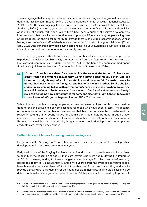The average age that young people leave their parental home in England has gradually increased during the last 50 years. In 1997, 50% of 21 year olds had left home (Office for National Statistics, 2019). By 2020, the average age to leave home had increased to 23 years old (Office for National Statistics, 2022c). However, young people leaving care are often faced with the stark realities of adult life at a much earlier age. Whilst there have been a number of positive developments in recent years that have increased entitlements up to age 25, many young people leaving care at 18 are reliant on their local authority to provide them with suitable accommodation. Whilst having a secure, safe and affordable home is an essential foundation to a good childhood (Cross et al., 2021), the transition between leaving care and having your own home is just as critical; yet it is at this moment that the foundation is abruptly removed.

There are big gaps in official statistics on the number of care experienced people who experience homelessness. However, the latest data from the Department for Levelling Up, Housing and Communities (DLUHC) found that 26% of the homeless population had spent time in care (Ministry for Housing, Communities & Local Government, 2020).

*"I'm not 18 yet but my sister for example, like the second she turned 18, her carers*  44 *didn't want her anymore because they weren't getting paid for my sister. She got kicked out straightaway which I don't think should be even fair for foster carers to do that because she has no family. All she has with me, my brother. So like she just ended up like coming to live with me temporarily because she had nowhere to go. She was still in college... Like how is my sister meant to feel loved and wanted in a family? like I can't imagine how painful that is for someone else that might happen today, but I don't know what's gonna happen. I'm not 18." - Child in care*

Whilst the path that leads young people to become homeless is often complex, more must be done to end the prevalence of homelessness for those who have been in care. The absence of national data on the number of care leavers that become homeless has constrained the review in setting a time bound target for this mission. This should be done through a new care experience cohort study which also captures health and mortality outcomes (see mission 5). As soon as reliable data is available, the government should develop a time bound plan to eradicate care leaver homelessness.

### **Better choices of homes for young people leaving care**

Programmes like Staying Put<sup>90</sup> and Staying Close<sup>91</sup> have been some of the most positive developments in the care system in recent years.

Early evaluations of the Staying Put Programme, found that young people were twice as likely to be in full time education at age 19 than care leavers who were not in Staying Put (Munro et al., 2012). However, funding for these arrangements ends at age 21, which can be before young people feel ready to live independently and is two years before the average age young people leave home at a population level. Whilst it is important that foster carers are willing and able to provide a Staying Put arrangement for the young people in their care, this should be assumed by default, with foster carers given the option to 'opt-out' if they are unable or unwilling to provide it.

<sup>90</sup> Staying Put was launched in 2014 and is a nationally available programme which gives young people a legal right to request that they remain living with their foster carer beyond age 18.

<sup>91</sup> Staying Close is a pilot programme which is currently available in a small number of local authority areas. It offers an opportunity for young people leaving children's residential care to remain in that home, or one within its network, beyond age 18.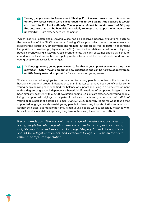*"Young people need to know about Staying Put, I wasn't aware that this was an*  44 *option. My foster carers were encouraged not to do Staying Put because it would cost more to the local authority. Young people should be made aware of Staying Put because that can be beneficial especially to keep that support when you go to university." - Care experienced young person*

Whilst less well established, Staying Close has also received positive evaluations, such as the evaluation of the St Christopher's Staying Close pilot which found improvements in relationships, education, employment and training outcomes; as well as better independent living skills and wellbeing (Heyes et al., 2020). Despite the relatively small cohort of young people currently living in Staying Close arrangements, the early outcomes should give enough confidence to local authorities and policy makers to expand its use nationally, and so that young people can access it for longer.

#### *"If things go wrong young people need to be able to get support even when they have*  44. *moved on – Often moving on brings new challenges and can be hard to adapt with no or little family network support." - Care experienced young person*

Similarly, supported lodgings (accommodation for young people who live in the home of a host family, but with greater independence than in foster care) have been beneficial for some young people leaving care, who find the balance of support and living in a home environment with a degree of greater independence beneficial. Evaluations of supported lodgings have been similarly positive, with a 2008 evaluation finding 82% of care experienced young people living in supported lodgings participated in education or training, compared with 62% of young people across all settings (Holmes, 2008). A 2021 report by Home for Good found that supported lodgings can also assist young people in developing important skills for adulthood at their own pace, but most importantly when young people were successfully matched with hosts it results in stability, improving long term outcomes (Home for Good, 2021).

**Recommendation:** *There should be a range of housing options open to young people transitioning out of care or who need to return, such as Staying Put, Staying Close and supported lodgings. Staying Put and Staying Close should be a legal entitlement and extended to age 23 with an 'opt-out' rather than 'opt-in' expectation.*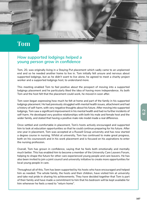# **Tom**

### *How supported lodgings helped a young person grow in confidence*

Tom, 20, was originally living in a Staying Put placement which sadly came to an unplanned end and so he needed another home to live in. Tom initially felt unsure and nervous about supported lodgings, but as he didn't want to live alone, he agreed to meet a charity project worker and a supported lodgings host, to understand more.

This meeting enabled Tom to feel positive about the prospect of moving into a supported lodgings placement and he particularly liked the idea of having more independence. As both Tom and the host felt that the placement could work, he moved in soon after.

Tom soon began expressing how much he felt at home and part of the family in his supported lodgings placement. He had previously struggled with mental health issues, attachment and had a history of self-harm, with very negative thoughts about his future. After moving into supported lodgings, Tom saw a significant improvement in his mental health and had no further incidents of self-harm. He developed very positive relationships with both his male and female host and the wider family, and stated that having a positive male role model made a real difference.

Once settled and comfortable in placement, Tom's hosts actively encouraged and supported him to look at education opportunities so that he could continue preparing for his future. After one year in placement, Tom was accepted at a Russell Group university and has now started a degree course in nursing. Whilst at university, Tom has continued to make great progress, both on his coursework and in his work placement and is focused on his aspirations to enter the nursing profession.

Overall, Tom has grown in confidence, saying that he feels both emotionally and mentally much better. This has enabled him to become a member of the University Care Leavers Forum, helping to shape the future for other care experienced young people and care leavers. He has also been invited to join a joint council and university initiative to create more opportunities for local young people in care.

Throughout all of this, Tom has been supported by his hosts who have encouraged and helped him as needed. The whole family, the hosts and their children, have visited him at university and take real pride in sharing his achievements. They have decided together that Tom is part of their family and have made a commitment to him that his bedroom will be kept available for him whenever he feels a need to "*return home*".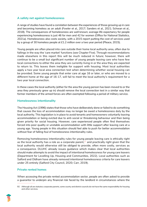### **A safety net against homelessness**

A range of studies have found a correlation between the experiences of those growing up in care and becoming homeless as an adult (Fowler et al., 2017; Sanders et al., 2021; Schwan et al., 2018). The consequences of homelessness are well known; average life expectancy for people experiencing homelessness is just 46 for men and 42 for women (Office for National Statistics, 2021a). Homelessness also costs society, with a 2015 report putting the cost of services used by a group of 30 homeless people at £1.2 million over a two year period (Pleace, 2015).

Young people are often placed into care outside their home local authority area, often due to failings in the way the 'care market' functions (see Chapter Five). Through recommendations made elsewhere in this report this will be much reduced in future; however, there will continue to be a small but significant number of young people leaving care who have few local connections to either the area they are currently living in or the area they are expected to return to. This leaves them ineligible for support with housing. Most local authorities apply a two year local area connection test when determining whether social housing can be provided. Some young people that enter care at age 16 or later, or who are moved to a different home at the age of 16-17, will fail to meet the local authority's requirement for a two year local connection.

In these cases the local authority (either for the area the young person has been moved to or the area they previously grew up in) should remove the local connection test in a similar way that former members of the armed forces are often exempted following a period of military service.

### **Homelessness intentionality**

The Housing Act (1996) states that those who have deliberately done or failed to do something that causes the loss of accommodation may no longer be owed a homelessness duty by the local authority. This legislation is in place to avoid tenants and homeowners voluntarily leaving accommodation or being evicted due to anti-social or threatening behaviour and then being given priority for social housing. However, care experienced people often find themselves forced into poor quality or unstable accommodation with little support after leaving care at a young age. Young people in this situation should feel able to push for better accommodation without fear of falling foul of homelessness intentionality rules.

Removing homelessness intentionality rules for young people leaving care is ethically right as the local authority has a role as a corporate parent, $92$  and practically right given that the local authority would otherwise still be obliged to provide, often more costly, services as a consequence. DLUHC already issues guidance which makes clear that local authorities should make attempts to avoid the impact of intentional homelessness for young care leavers (Department for Levelling Up, Housing and Communities, 2022). Local authorities such as Salford and Oldham have already removed intentional homelessness criteria for care leavers under 25 entirely (Salford City Council, 2020; Carr, 2019).

### **Private rented homes**

When accessing the private rented accommodation sector, people are often asked to provide a guarantor to underpin any financial risk faced by the landlord in circumstances where the

<sup>92</sup> Although all are statutory corporate parents, some county and district councils do not have the same responsibility for housing and other services.

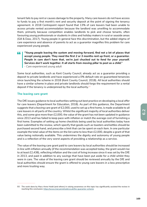tenant fails to pay rent or causes damage to the property. Many care leavers do not have access to funds to pay a first month's rent and security deposit at the point of signing the tenancy agreement. A 2018 Centrepoint report found that 13% of care leavers had been unable to access private rented accommodation because the landlord was unwilling to accommodate them, primarily because competition enables landlords to pick and choose tenants, often favouring young professionals or students in cities and holiday makers in rural or seaside areas (Gill & Daw, 2017). Young people in general face this discrimination, but the added stigma of care experience and absence of parents to act as a guarantor magnifies this problem for care experienced young people.

*"Young people leaving the system and moving forward, find not a lot of places that accept young people. They need the first 2 or 3 months rent up front, or a guarantor. People in care don't have that, we're just chucked out to fend for your yourself. Services don't work together. It all starts from moving pillar to post as a child." - Care experienced young adult*

Some local authorities, such as Kent County Council, already act as a guarantor providing a deposit to private landlords and have experienced a 0% default rate on guaranteed tenancies since launching the scheme in 2018 (Kent County Council, 2018). All local authorities should have a similar scheme in place and private landlords should forgo the requirement for a rental deposit if the tenancy is underpinned by the local authority. $93$ 

#### **The leaving care grant**

The DfE issues guidance to local authorities setting out best practice on developing a local offer for care leavers (Department for Education, 2018). As part of this guidance, the Department suggests that a leaving care grant of £2,000, used to set up a first home, is made available to all care leavers in all parts of the country. Whilst the significant majority of local authorities deliver this, and some give more than £2,000, the value of the grant has not been updated in guidance since 2013 and has failed to keep pace with inflation or match the average cost of furnishing a first home. Examples of setting up home checklists being used by local authorities today have been submitted to the review, which specify that goods such as toasters and kettles should be purchased second hand, and prescribe a limit that can be spent on each item. In one particular example the total value of the items on the list came to less than £2,000, despite a grant of that value being notionally available. This undermines the dignity and autonomy of young people and is a reflection of the very worst aspects of providing a relationship as a service.

The value of the leaving care grant paid to care leavers by local authorities should be increased in line with inflation annually (if the recommendation was accepted today, the grant would rise to at least £2,438), reflecting inflation and the cost of living increase since it was set by the DfE in 2013, and paid in addition to any savings that have been put aside for a child whilst they were in care. The value of the leaving care grant should be reviewed annually by the DfE and local authorities should ensure the grant is offered to young care leavers in a less prescriptive and more trusting way.

<sup>93</sup> The work done by Mary-Anne Hodd (and others) in raising awareness on this topic has significantly assisted the review in reaching this conclusion; https://www.maryannehodd.co.uk/the-guarantor-scheme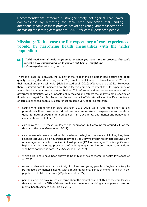**Recommendation:** *Introduce a stronger safety net against care leaver homelessness by removing the local area connection test, ending intentionally homelessness practice, providing a rent guarantor scheme and increasing the leaving care grant to £2,438 for care experienced people.* 

### **Mission 5: To increase the life expectancy of care experienced people, by narrowing health inequalities with the wider population**

- *"[We] need mental health support later when you have time to process. You can't reflect on your upbringing while you are still being brought up."* 
	- *Care experienced young person*

There is a clear link between the quality of the relationships a person has, secure and good quality housing (Mendes & Rogers, 2020), employment (Furey & Harris-Evans, 2021), and their mental and physical health (Holt-Lunstad et al., 2010; Wijedasa et al., 2022). However, there is limited data to indicate how these factors combine to affect the life expectancy of adults that had spent time in care as children. This information does not appear in any official government statistics, which impacts policy making and affects the ability to set a specific or time bound target for this mission. While we may lack official statistics on the life expectancy of care experienced people, we can reflect on some very sobering statistics:

- adults who spent time in care between 1971-2001 were 70% more likely to die prematurely than those who did not, and also more likely to experience an unnatural death (unnatural death is defined as self-harm, accidents, and mental and behavioural causes) (Murray et al., 2020)
- care leavers 18-21 make up 1% of the population, but account for around 7% of the deaths at this age (Greenwood, 2017)
- care leavers who were in residential care have the highest prevalence of limiting long term illnesses (around 32% on average), followed by adults who lived in foster care (around 16% on average) and adults who lived in kinship care (12% on average). This is significantly higher than the average prevalence of limiting long term illnesses amongst individuals who have not been in care (7%) (Sacker et al., 2021b)
- white girls in care have been shown to be at higher risk of mental ill health (Wijedasa et al., 2022)
- recent studies estimate that one in eight children and young people in England are likely to be impacted by mental ill health, with a much higher prevalence of mental ill health in the population of children in care (Wijedasa et al., 2022)
- personal advisors have raised concerns about the mental health of 46% of the care leavers they supported, but 65% of these care leavers were not receiving any help from statutory mental health services (Barnardo's, 2017)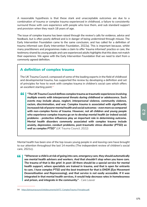A reasonable hypothesis is that these stark and unacceptable outcomes are due to a combination of trauma or complex trauma experienced in childhood, a failure to consistently surround those with care experience with people who love them, and sub standard support and provision when they reach 18 years of age.

The issue of complex trauma has been raised through the review's calls for evidence, advice and feedback, but is often poorly defined and is in danger of being undermined through misuse. The Early Intervention Foundation came to the same conclusion, and has called for a definition of trauma informed care (Early Intervention Foundation, 2022a). This is important because, whilst many practitioners and programmes make a claim to offer 'trauma informed' practice or care, the testimony shared by young people and care experienced adults highlights that this does not match their experience. We agree with the Early Intervention Foundation that we need to start from a commonly agreed definition.

### **A definition of complex trauma**

The UK Trauma Council, composed of some of the leading experts in the field of childhood and developmental trauma, has supported the review by developing a definition and set of principles for how to work with complex trauma in children's social care which offers an excellent starting point: 94

44 *"The UK Trauma Council defines complex trauma as traumatic experiences involving multiple events with interpersonal threats during childhood or adolescence. Such events may include abuse, neglect, interpersonal violence, community violence, racism, discrimination, and war. Complex trauma is associated with significantly increased risk of poorer mental health and social outcomes - even more so compared with non-complex forms of trauma. However, not all children and young people who experience complex trauma go on to develop mental health (or indeed social) problems - protective influences play an important role in determining outcome. Mental health disorders commonly associated with complex trauma include anxiety, depression, conduct problems, post-traumatic stress disorder (PTSD) as well as complex PTSD" (UK Trauma Council, 2022)*

Mental health has been one of the top issues young people in and leaving care have brought to our attention throughout the last 14 months (The independent review of children's social care, 2021c).

*"Whenever a child is at risk of going into care, emergency care, they should automatically*  44 *see mental health advisers and workers. And that shouldn't stop when you leave care. The trauma of that is like grief. In post-18 there should be a special service for mental health support, where specialists are trained in trauma, and that is open for entrants to care. I have complex PTSD and the best treatment for that is EMDR [Eye Movement Desensitisation and Reprocessing], and that service is not easily accessible. If it was integrated in that mental health services, it would help decrease rates in homelessness and prison, and integrate in the community." - Care Leaver*

<sup>94</sup> https://uktraumacouncil.link/documents/UKTC-ComplexTrauma-Principles.pdf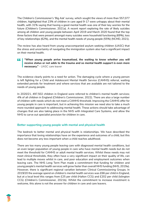The Children's Commissioner's 'Big Ask' survey, which sought the views of more than 557,077 children, highlighted that 23% of children in care aged 9-17 were unhappy about their mental health, with 31% saying that having a good mental health was one of their key worries for the future (Children's Commissioner, 2021a). A recent report exploring the rate of likely suicides among all children and young people between April 2019 and March 2020 found that the top three factors that were present amongst many suicides were household functioning (69%), loss of key relationships (62%), and the mental health needs of young people (55%) (NCMD, 2021).

The review has also heard from young unaccompanied asylum seeking children (UASC) that the stress and uncertainty of navigating the immigration system also had a significant impact on their mental health.

#### $\mathbf{L}$ "When young people arrive traumatised, the waiting to know whether you will *receive status or not adds to the trauma and so mental health support is even more necessary." - UASC care leaver*

The evidence clearly points to a need for action. The damaging cycle where a young person is left fighting for a Child and Adolescent Mental Health Service (CAMHS) referral, waiting extended periods for treatment and where services that are available are not tailored to the needs of young people.

In 2020/21, 497,502 children in England were referred to children's mental health services; 4% of all children in England (Children's Commissioner, 2022). There are also a large number of children with needs which do not meet a CAMHS threshold. Improving the CAMHS offer for young people in care is important, but in achieving this mission we need also to take a much more rounded approach to addressing mental health. These actions should take advantage of changes that are also taking place in the NHS with Integrated Care Systems, and allow the NHS to carve out specialist provision for children in care.

### **Better supporting young people with mental and physical health**

The bedrock to better mental and physical health is relationships. We have described the importance that loving relationships have on the experience and outcomes of a child, but this does not become any less important when a child reaches adulthood.

There are too many young people leaving care with diagnosed mental health conditions, but an even larger population of young people in care who have mental health needs but do not meet the threshold for CAMHS or adult mental health services. Whilst these needs may not meet clinical thresholds, they often have a very significant impact on their quality of life, can lead to multiple moves whilst in care, and poor education and employment outcomes when leaving care. The NHS Long Term Plan made a commitment that funding for children and young people's mental health services will grow faster than overall NHS funding (NHS, 2019a). However, there is significant regional variation between Clinical Commissioning Groups. In 2019/20 the average spend on children's mental health services was £66 per child in England, but at a local level this ranges from £25 per child (Halton CCG) and £202 per child (Islington CCG) (Children's Commissioner, 2021b). Whilst the commitment to increase investment is welcome, this alone is not the answer for children in care and care leavers.

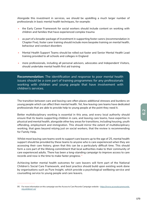Alongside this investment in services, we should be upskilling a much larger number of professionals in basic mental health techniques, for example:

- the Early Career Framework for social workers should include content on working with children and families that have experienced complex trauma
- as part of a broader package of investment in supporting foster carers (recommendation in Chapter Five), foster carer training should include more bespoke training on mental health, behaviour and conduct disorders
- Mental Health Support Teams should be rolled out faster and Senior Mental Health Lead training provided to all schools and colleges in England
- more professionals, including all personal advisors, advocates and Independent Visitors, should undertake mental health first aid training

**Recommendation:** *The identification and response to poor mental health issues should be a core part of training programmes for any professionals working with children and young people that have involvement with children's services.* 

The transition between care and leaving care often places additional stresses and burdens on young people which can affect their mental health. Yet, few leaving care teams have dedicated professionals that are able to provide help to young people at the point they need it.

Better multidisciplinary working is essential in this area, and every local authority should ensure that its teams supporting children in care, and leaving care teams, have expertise in physical and mental health, alongside other key areas for transitions, including housing, youth offending, employment and immigration. This should mirror the extent of multidisciplinary working, that goes beyond relying just on social workers, that the review is recommending for Family Help.

Whilst most leaving care teams work to support care leavers up to the age of 25, mental health support should be provided by these teams to anyone who is care experienced when they are accessing their care history, given that this can be a particularly difficult time. This should form a core part of the lifelong commitment that local authorities make to their community of care experienced adults. There has been a long-standing campaign to improve access to care records and now is the time to make faster progress.<sup>95</sup>

Achieving better mental health outcomes for care leavers will form part of the National Children's Social Care Framework, and best practice should build upon existing work done by organisations such as Pure Insight, which provide a psychological wellbeing service and counselling service to young people and care leavers.

<sup>95</sup> For more information on this campaign see the Access to Care Records Campaign website - https://www.accesstocarerecords. org.uk/about-us/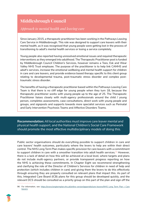# **Middlesbrough Council**

### *Approach to mental health and leaving care*

Since January 2015, a therapeutic practitioner has been working in the Pathways Leaving Care Service in Middlesbrough. This role was designed to support care leavers with their mental health, as it was recognised that young people were getting lost in the process of transitioning to adult's mental health services or losing a service completely.

Young people also reported having unresolved emotional issues and required therapeutic interventions as they emerged into adulthood. The Therapeutic Practitioner post is funded by Middlesbrough Council Children's Services, however remains a Tees, Esk and Wear Valley NHS Trust employee. The purpose of the practitioner is to help link CAMHS and adult's services, increase the emotional wellbeing and mental health support for children in care and care leavers, and provide evidence based therapy specific to this client group relating to developmental trauma, post-traumatic stress disorder and complex posttraumatic stress disorder.

The benefits of having a therapeutic practitioner based within the Pathways Leaving Care Team is that there is no cliff edge for young people when they turn 18, because the therapeutic practitioner works with young people up to the age of 25. The Therapeutic Practitioner liaises closely with multi-agency professionals around the child / young person, completes assessments, case consultations, direct work with young people and groups, and signposts and supports towards more specialist services such as Perinatal and Early Intervention Psychosis Teams and Affective Disorders Teams.

**Recommendation:** *All local authorities must improve care leaver mental and physical health support, and the National Children's Social Care Framework should promote the most effective multidisciplinary models of doing this.*

Public sector organisations should do everything possible to support children in care and care leavers' health outcomes, particularly where the levers to help are within their direct control. The NHS Long Term Plan makes specific provision for care leavers with a commitment to support children in care with a smoother transition into adult health services.<sup>96</sup> However, there is a lack of detail on how this will be achieved at a local level, where targets and plans do not include multi-agency partners, or provide transparent progress reporting on how the NHS is achieving these commitments. In Chapter Eight we recommend strengthening and clarifying the role of the Director of Children's Services for children in need of help and protection (which includes children in care) and giving them the levers to do this effectively through ensuring they are properly consulted on relevant plans that impact this. As part of this, Integrated Care Board (ICB) plans for this group should be developed quickly, and the relevant DCS should be consulted as a priority group on this part of the plan and sign off the

<sup>96</sup> For information, see: https://www.longtermplan.nhs.uk/online-version/appendix/care-leavers/NHS Long Term Plan » Care leavers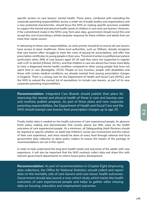specific section on care leavers' mental health. These plans, combined with extending the corporate parenting responsibilities across a wider set of public bodies and organisations and a new protected characteristic, should focus the NHS on making specific provision available to support the mental and physical health needs of children in care and care leavers. However, if the commitment made in the NHS Long Term plan slips, government should revisit this and accept the cost of providing a wholly bespoke response for these children and adults that can meet their needs sooner.

In delivering on these new responsibilities, an early priority should be to ensure all care leavers have access to basic healthcare. Some local authorities, such as Oldham, already recognise that care leavers often struggle to meet the costs of paying for prescriptions, and offer free prescription certificates to young people in their area. This kind of action is justified everywhere particularly when 26% of care leavers aged 16-34 said they were not supported to register with a GP or dentist (Ofsted, 2022c), and that children in care are almost four times more likely to have a diagnosed mental health condition compared to other young people that have not spent time in care (Bazalgette, 2015). People on low incomes, people with disabilities and those with certain medical conditions are already exempt from paying prescription charges in England. There is a strong case for the Department of Health and Social Care (DHSC) and the NHS to extend the current list of exemptions to include care leavers, as part of its new corporate parenting responsibilities.

**Recommendation:** *Integrated Care Boards should publish their plans for improving the mental and physical health of those in care and leaving care*  and routinely publish progress. As part of these plans and new corporate *parenting responsibilities, the Department of Health and Social Care and the NHS should exempt care leavers from prescription charges up to age 25.*

Finally, better data is needed on the health outcomes of care experienced people. Its absence limits policy making and demonstrates that society places too little value on the health outcomes of care experienced people. At a minimum, all Safeguarding Adult Reviews should be required to specify whether an adult had children's social care involvement and the nature of their care experience, and more should be done at every level through national and local government data collection to allow policy makers to assess the impact of the package of recommendations set out in this report.

In order to help understand the long term health needs and outcomes of the adults with care experience, it will also be important that the NHS routinely collect data and share this with relevant government departments to inform future policy development.

**Recommendation:** *As part of recommendation in Chapter Eight (improving data collection), the Office for National Statistics should collect and report data on the mortality rate of care leavers and care leaver health outcomes. Government should also launch a new cohort study which tracks the health outcomes of care experienced people and helps to gather other missing data on housing, education and employment outcomes.*